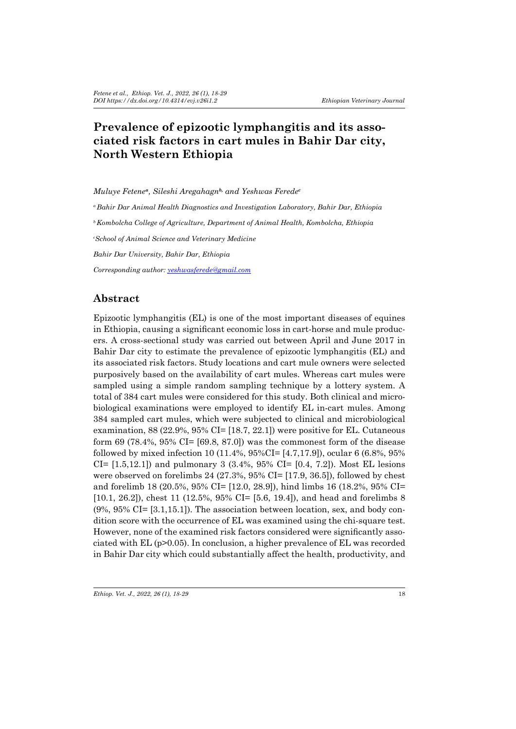# **Prevalence of epizootic lymphangitis and its associated risk factors in cart mules in Bahir Dar city, North Western Ethiopia**

*Muluye Fetene<sup>a</sup>, Sileshi Aregahagnb, and Yeshwas Ferede<sup>c</sup> <sup>a</sup>Bahir Dar Animal Health Diagnostics and Investigation Laboratory, Bahir Dar, Ethiopia <sup>b</sup>Kombolcha College of Agriculture, Department of Animal Health, Kombolcha, Ethiopia c School of Animal Science and Veterinary Medicine Bahir Dar University, Bahir Dar, Ethiopia Corresponding author: yeshwasferede@gmail.com*

## **Abstract**

Epizootic lymphangitis (EL) is one of the most important diseases of equines in Ethiopia, causing a significant economic loss in cart-horse and mule producers. A cross-sectional study was carried out between April and June 2017 in Bahir Dar city to estimate the prevalence of epizootic lymphangitis (EL) and its associated risk factors. Study locations and cart mule owners were selected purposively based on the availability of cart mules. Whereas cart mules were sampled using a simple random sampling technique by a lottery system. A total of 384 cart mules were considered for this study. Both clinical and microbiological examinations were employed to identify EL in-cart mules. Among 384 sampled cart mules, which were subjected to clinical and microbiological examination, 88 (22.9%, 95% CI= [18.7, 22.1]) were positive for EL. Cutaneous form 69 (78.4%, 95% CI= [69.8, 87.0]) was the commonest form of the disease followed by mixed infection 10 (11.4%, 95%CI= [4.7,17.9]), ocular 6 (6.8%, 95%  $CI = [1.5, 12.1]$  and pulmonary 3 (3.4%, 95%  $CI = [0.4, 7.2]$ ). Most EL lesions were observed on forelimbs 24 (27.3%, 95% CI= [17.9, 36.5]), followed by chest and forelimb 18 (20.5%, 95% CI= [12.0, 28.9]), hind limbs 16 (18.2%, 95% CI= [10.1, 26.2]), chest 11 (12.5%, 95% CI= [5.6, 19.4]), and head and forelimbs 8 (9%, 95% CI= [3.1,15.1]). The association between location, sex, and body condition score with the occurrence of EL was examined using the chi-square test. However, none of the examined risk factors considered were significantly associated with EL (p>0.05). In conclusion, a higher prevalence of EL was recorded in Bahir Dar city which could substantially affect the health, productivity, and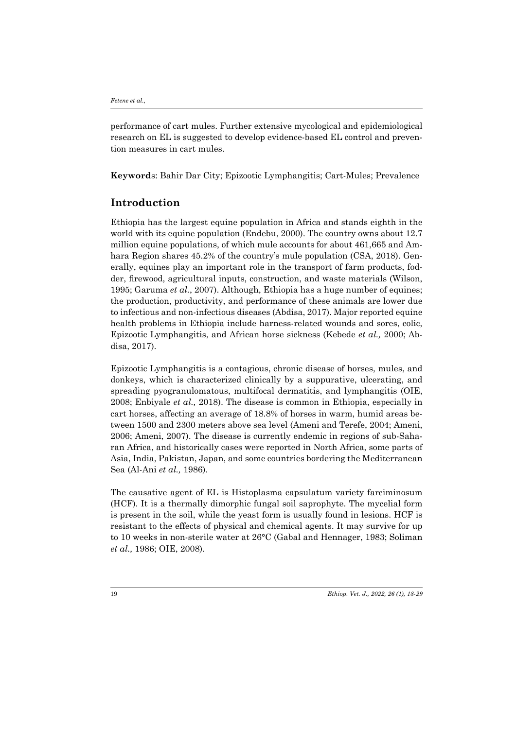performance of cart mules. Further extensive mycological and epidemiological research on EL is suggested to develop evidence-based EL control and prevention measures in cart mules.

**Keyword**s: Bahir Dar City; Epizootic Lymphangitis; Cart-Mules; Prevalence

## **Introduction**

Ethiopia has the largest equine population in Africa and stands eighth in the world with its equine population (Endebu, 2000). The country owns about 12.7 million equine populations, of which mule accounts for about 461,665 and Amhara Region shares 45.2% of the country's mule population (CSA, 2018). Generally, equines play an important role in the transport of farm products, fodder, firewood, agricultural inputs, construction, and waste materials (Wilson, 1995; Garuma *et al.*, 2007). Although, Ethiopia has a huge number of equines; the production, productivity, and performance of these animals are lower due to infectious and non-infectious diseases (Abdisa, 2017). Major reported equine health problems in Ethiopia include harness-related wounds and sores, colic, Epizootic Lymphangitis, and African horse sickness (Kebede *et al.,* 2000; Abdisa, 2017).

Epizootic Lymphangitis is a contagious, chronic disease of horses, mules, and donkeys, which is characterized clinically by a suppurative, ulcerating, and spreading pyogranulomatous, multifocal dermatitis, and lymphangitis (OIE, 2008; Enbiyale *et al.,* 2018). The disease is common in Ethiopia, especially in cart horses, affecting an average of 18.8% of horses in warm, humid areas between 1500 and 2300 meters above sea level (Ameni and Terefe, 2004; Ameni, 2006; Ameni, 2007). The disease is currently endemic in regions of sub-Saharan Africa, and historically cases were reported in North Africa, some parts of Asia, India, Pakistan, Japan, and some countries bordering the Mediterranean Sea (Al-Ani *et al.,* 1986).

The causative agent of EL is Histoplasma capsulatum variety farciminosum (HCF). It is a thermally dimorphic fungal soil saprophyte. The mycelial form is present in the soil, while the yeast form is usually found in lesions. HCF is resistant to the effects of physical and chemical agents. It may survive for up to 10 weeks in non-sterile water at 26°C (Gabal and Hennager, 1983; Soliman *et al.,* 1986; OIE, 2008).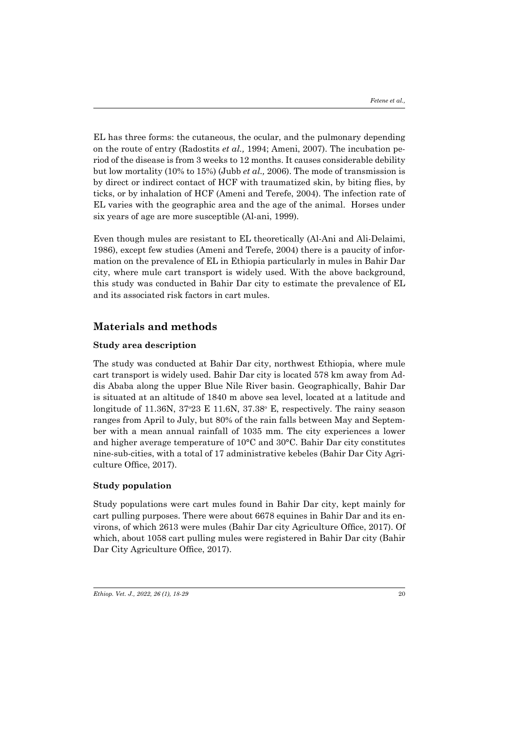EL has three forms: the cutaneous, the ocular, and the pulmonary depending on the route of entry (Radostits *et al.,* 1994; Ameni, 2007). The incubation period of the disease is from 3 weeks to 12 months. It causes considerable debility but low mortality (10% to 15%) (Jubb *et al.,* 2006). The mode of transmission is by direct or indirect contact of HCF with traumatized skin, by biting flies, by ticks, or by inhalation of HCF (Ameni and Terefe, 2004). The infection rate of EL varies with the geographic area and the age of the animal. Horses under six years of age are more susceptible (Al-ani, 1999).

Even though mules are resistant to EL theoretically (Al-Ani and Ali-Delaimi, 1986), except few studies (Ameni and Terefe, 2004) there is a paucity of information on the prevalence of EL in Ethiopia particularly in mules in Bahir Dar city, where mule cart transport is widely used. With the above background, this study was conducted in Bahir Dar city to estimate the prevalence of EL and its associated risk factors in cart mules.

## **Materials and methods**

## **Study area description**

The study was conducted at Bahir Dar city, northwest Ethiopia, where mule cart transport is widely used. Bahir Dar city is located 578 km away from Addis Ababa along the upper Blue Nile River basin. Geographically, Bahir Dar is situated at an altitude of 1840 m above sea level, located at a latitude and longitude of  $11.36N$ ,  $37°23 \text{ E } 11.6N$ ,  $37.38°$  E, respectively. The rainy season ranges from April to July, but 80% of the rain falls between May and September with a mean annual rainfall of 1035 mm. The city experiences a lower and higher average temperature of 10°C and 30°C. Bahir Dar city constitutes nine-sub-cities, with a total of 17 administrative kebeles (Bahir Dar City Agriculture Office, 2017).

### **Study population**

Study populations were cart mules found in Bahir Dar city, kept mainly for cart pulling purposes. There were about 6678 equines in Bahir Dar and its environs, of which 2613 were mules (Bahir Dar city Agriculture Office, 2017). Of which, about 1058 cart pulling mules were registered in Bahir Dar city (Bahir Dar City Agriculture Office, 2017).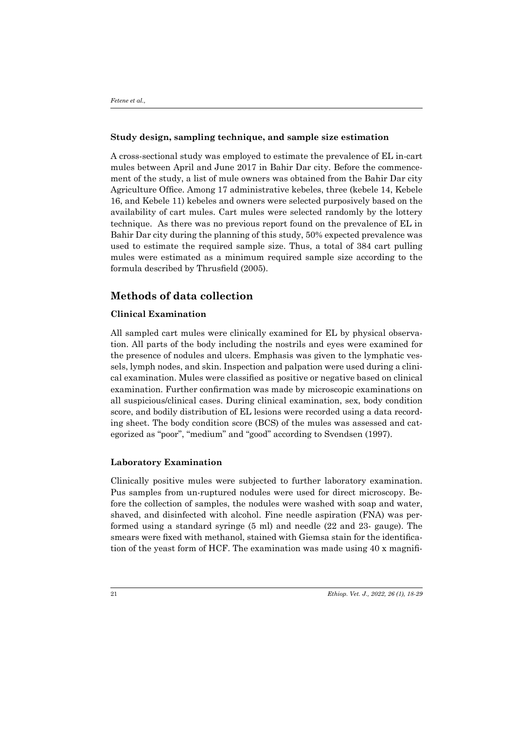### **Study design, sampling technique, and sample size estimation**

A cross-sectional study was employed to estimate the prevalence of EL in-cart mules between April and June 2017 in Bahir Dar city. Before the commencement of the study, a list of mule owners was obtained from the Bahir Dar city Agriculture Office. Among 17 administrative kebeles, three (kebele 14, Kebele 16, and Kebele 11) kebeles and owners were selected purposively based on the availability of cart mules. Cart mules were selected randomly by the lottery technique. As there was no previous report found on the prevalence of EL in Bahir Dar city during the planning of this study, 50% expected prevalence was used to estimate the required sample size. Thus, a total of 384 cart pulling mules were estimated as a minimum required sample size according to the formula described by Thrusfield (2005).

## **Methods of data collection**

### **Clinical Examination**

All sampled cart mules were clinically examined for EL by physical observation. All parts of the body including the nostrils and eyes were examined for the presence of nodules and ulcers. Emphasis was given to the lymphatic vessels, lymph nodes, and skin. Inspection and palpation were used during a clinical examination. Mules were classified as positive or negative based on clinical examination. Further confirmation was made by microscopic examinations on all suspicious/clinical cases. During clinical examination, sex, body condition score, and bodily distribution of EL lesions were recorded using a data recording sheet. The body condition score (BCS) of the mules was assessed and categorized as "poor", "medium" and "good" according to Svendsen (1997).

#### **Laboratory Examination**

Clinically positive mules were subjected to further laboratory examination. Pus samples from un-ruptured nodules were used for direct microscopy. Before the collection of samples, the nodules were washed with soap and water, shaved, and disinfected with alcohol. Fine needle aspiration (FNA) was performed using a standard syringe (5 ml) and needle (22 and 23- gauge). The smears were fixed with methanol, stained with Giemsa stain for the identification of the yeast form of HCF. The examination was made using 40 x magnifi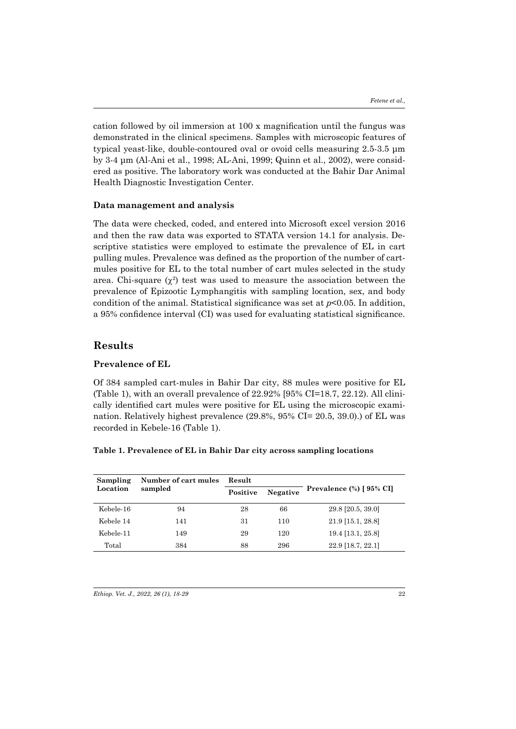cation followed by oil immersion at 100 x magnification until the fungus was demonstrated in the clinical specimens. Samples with microscopic features of typical yeast-like, double-contoured oval or ovoid cells measuring 2.5-3.5 μm by 3-4 μm (Al-Ani et al., 1998; AL-Ani, 1999; Quinn et al., 2002), were considered as positive. The laboratory work was conducted at the Bahir Dar Animal Health Diagnostic Investigation Center.

#### **Data management and analysis**

The data were checked, coded, and entered into Microsoft excel version 2016 and then the raw data was exported to STATA version 14.1 for analysis. Descriptive statistics were employed to estimate the prevalence of EL in cart pulling mules. Prevalence was defined as the proportion of the number of cartmules positive for EL to the total number of cart mules selected in the study area. Chi-square  $(\chi^2)$  test was used to measure the association between the prevalence of Epizootic Lymphangitis with sampling location, sex, and body condition of the animal. Statistical significance was set at *p*<0.05. In addition, a 95% confidence interval (CI) was used for evaluating statistical significance.

## **Results**

## **Prevalence of EL**

Of 384 sampled cart-mules in Bahir Dar city, 88 mules were positive for EL (Table 1), with an overall prevalence of 22.92% [95% CI=18.7, 22.12). All clinically identified cart mules were positive for EL using the microscopic examination. Relatively highest prevalence (29.8%, 95% CI= 20.5, 39.0).) of EL was recorded in Kebele-16 (Table 1).

### **Table 1. Prevalence of EL in Bahir Dar city across sampling locations**

| Sampling<br>Location | Number of cart mules<br>sampled | Result   |          |                          |
|----------------------|---------------------------------|----------|----------|--------------------------|
|                      |                                 | Positive | Negative | Prevalence (%) [ 95% CI] |
| Kebele-16            | 94                              | 28       | 66       | $29.8$ [20.5, 39.0]      |
| Kebele 14            | 141                             | 31       | 110      | 21.9 [15.1, 28.8]        |
| Kebele-11            | 149                             | 29       | 120      | 19.4 [13.1, 25.8]        |
| Total                | 384                             | 88       | 296      | 22.9 [18.7, 22.1]        |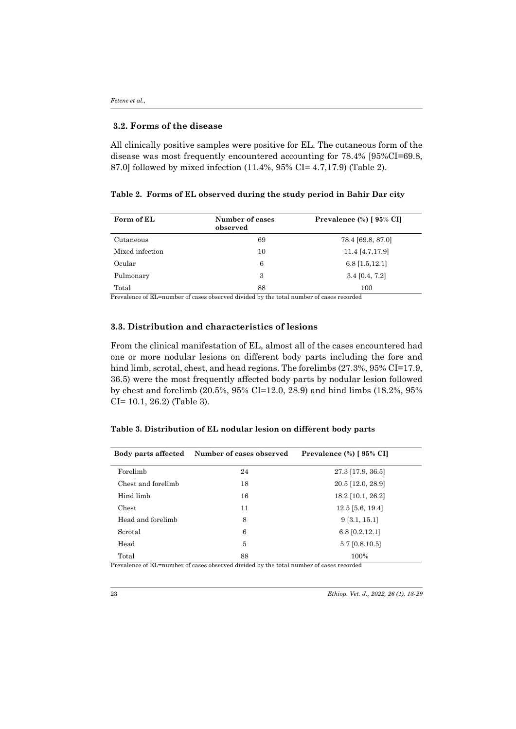#### **3.2. Forms of the disease**

All clinically positive samples were positive for EL. The cutaneous form of the disease was most frequently encountered accounting for 78.4% [95%CI=69.8, 87.0] followed by mixed infection (11.4%, 95% CI= 4.7,17.9) (Table 2).

### **Table 2. Forms of EL observed during the study period in Bahir Dar city**

| Form of EL      | Number of cases<br>observed | Prevalence (%) [ 95% CI] |
|-----------------|-----------------------------|--------------------------|
| Cutaneous       | 69                          | 78.4 [69.8, 87.0]        |
| Mixed infection | 10                          | 11.4 [4.7,17.9]          |
| Ocular          | 6                           | $6.8$ [1.5, 12.1]        |
| Pulmonary       | 3                           | $3.4$ [0.4, 7.2]         |
| Total           | 88                          | 100                      |

Prevalence of EL=number of cases observed divided by the total number of cases recorded

## **3.3. Distribution and characteristics of lesions**

From the clinical manifestation of EL, almost all of the cases encountered had one or more nodular lesions on different body parts including the fore and hind limb, scrotal, chest, and head regions. The forelimbs (27.3%, 95% CI=17.9, 36.5) were the most frequently affected body parts by nodular lesion followed by chest and forelimb (20.5%, 95% CI=12.0, 28.9) and hind limbs (18.2%, 95% CI= 10.1, 26.2) (Table 3).

### **Table 3. Distribution of EL nodular lesion on different body parts**

| Body parts affected | Number of cases observed | Prevalence (%) [ 95% CI] |  |
|---------------------|--------------------------|--------------------------|--|
| Forelimb            | 24                       | $27.3$ [17.9, 36.5]      |  |
| Chest and forelimb  | 18                       | 20.5 [12.0, 28.9]        |  |
| Hind limb           | 16                       | 18.2 [10.1, 26.2]        |  |
| Chest               | 11                       | $12.5$ [5.6, 19.4]       |  |
| Head and forelimb   | 8                        | 9[3.1, 15.1]             |  |
| Scrotal             | 6                        | $6.8$ [0.2.12.1]         |  |
| Head                | 5                        | $5.7$ [0.8.10.5]         |  |
| Total               | 88                       | 100%                     |  |

Prevalence of EL=number of cases observed divided by the total number of cases recorded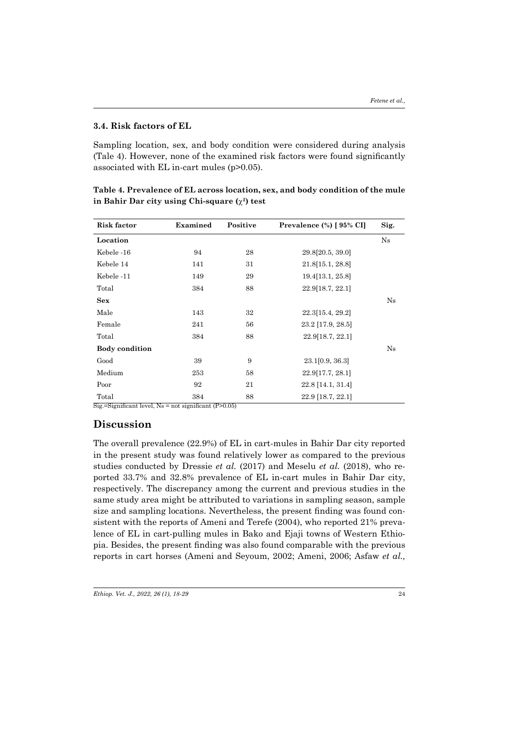#### **3.4. Risk factors of EL**

Sampling location, sex, and body condition were considered during analysis (Tale 4). However, none of the examined risk factors were found significantly associated with EL in-cart mules (p>0.05).

| <b>Risk factor</b>    | Examined | Positive | Prevalence $(\%)$ [ $95\%$ CI] | Sig. |
|-----------------------|----------|----------|--------------------------------|------|
| Location              |          |          |                                | Ns   |
| Kebele -16            | 94       | 28       | 29.8[20.5, 39.0]               |      |
| Kebele 14             | 141      | 31       | 21.8[15.1, 28.8]               |      |
| Kebele -11            | 149      | 29       | 19.4 [13.1, 25.8]              |      |
| Total                 | 384      | 88       | 22.9[18.7, 22.1]               |      |
| Sex                   |          |          |                                | Ns   |
| Male                  | 143      | 32       | 22.3[15.4, 29.2]               |      |
| Female                | 241      | 56       | 23.2 [17.9, 28.5]              |      |
| Total                 | 384      | 88       | 22.9[18.7, 22.1]               |      |
| <b>Body condition</b> |          |          |                                | Ns   |
| Good                  | 39       | 9        | 23.1[0.9, 36.3]                |      |
| Medium                | 253      | 58       | 22.9[17.7, 28.1]               |      |
| Poor                  | 92       | 21       | 22.8 [14.1, 31.4]              |      |
| Total                 | 384      | 88       | 22.9 [18.7, 22.1]              |      |

**Table 4. Prevalence of EL across location, sex, and body condition of the mule in Bahir Dar city using Chi-square (**χ**2) test**

 $\overline{\text{Sig}}$ .=Significant level, Ns = not significant (P>0.05)

## **Discussion**

The overall prevalence (22.9%) of EL in cart-mules in Bahir Dar city reported in the present study was found relatively lower as compared to the previous studies conducted by Dressie *et al.* (2017) and Meselu *et al.* (2018), who reported 33.7% and 32.8% prevalence of EL in-cart mules in Bahir Dar city, respectively. The discrepancy among the current and previous studies in the same study area might be attributed to variations in sampling season, sample size and sampling locations. Nevertheless, the present finding was found consistent with the reports of Ameni and Terefe (2004), who reported 21% prevalence of EL in cart-pulling mules in Bako and Ejaji towns of Western Ethiopia. Besides, the present finding was also found comparable with the previous reports in cart horses (Ameni and Seyoum, 2002; Ameni, 2006; Asfaw *et al.,*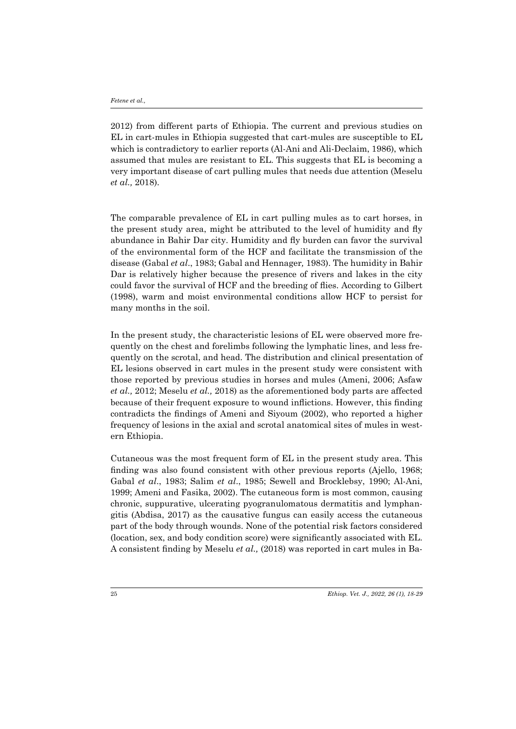2012) from different parts of Ethiopia. The current and previous studies on EL in cart-mules in Ethiopia suggested that cart-mules are susceptible to EL which is contradictory to earlier reports (Al-Ani and Ali-Declaim, 1986), which assumed that mules are resistant to EL. This suggests that EL is becoming a very important disease of cart pulling mules that needs due attention (Meselu *et al.,* 2018).

The comparable prevalence of EL in cart pulling mules as to cart horses, in the present study area, might be attributed to the level of humidity and fly abundance in Bahir Dar city. Humidity and fly burden can favor the survival of the environmental form of the HCF and facilitate the transmission of the disease (Gabal *et al*., 1983; Gabal and Hennager*,* 1983). The humidity in Bahir Dar is relatively higher because the presence of rivers and lakes in the city could favor the survival of HCF and the breeding of flies. According to Gilbert (1998), warm and moist environmental conditions allow HCF to persist for many months in the soil.

In the present study, the characteristic lesions of EL were observed more frequently on the chest and forelimbs following the lymphatic lines, and less frequently on the scrotal, and head. The distribution and clinical presentation of EL lesions observed in cart mules in the present study were consistent with those reported by previous studies in horses and mules (Ameni, 2006; Asfaw *et al.,* 2012; Meselu *et al.,* 2018) as the aforementioned body parts are affected because of their frequent exposure to wound inflictions. However, this finding contradicts the findings of Ameni and Siyoum (2002), who reported a higher frequency of lesions in the axial and scrotal anatomical sites of mules in western Ethiopia.

Cutaneous was the most frequent form of EL in the present study area. This finding was also found consistent with other previous reports (Ajello, 1968; Gabal *et al*., 1983; Salim *et al*., 1985; Sewell and Brocklebsy, 1990; Al-Ani, 1999; Ameni and Fasika, 2002). The cutaneous form is most common, causing chronic, suppurative, ulcerating pyogranulomatous dermatitis and lymphangitis (Abdisa, 2017) as the causative fungus can easily access the cutaneous part of the body through wounds. None of the potential risk factors considered (location, sex, and body condition score) were significantly associated with EL. A consistent finding by Meselu *et al.,* (2018) was reported in cart mules in Ba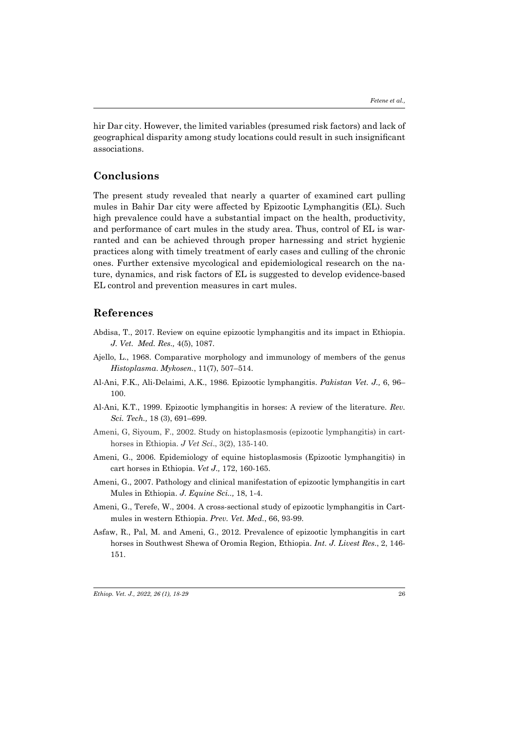hir Dar city. However, the limited variables (presumed risk factors) and lack of geographical disparity among study locations could result in such insignificant associations.

## **Conclusions**

The present study revealed that nearly a quarter of examined cart pulling mules in Bahir Dar city were affected by Epizootic Lymphangitis (EL). Such high prevalence could have a substantial impact on the health, productivity, and performance of cart mules in the study area. Thus, control of EL is warranted and can be achieved through proper harnessing and strict hygienic practices along with timely treatment of early cases and culling of the chronic ones. Further extensive mycological and epidemiological research on the nature, dynamics, and risk factors of EL is suggested to develop evidence-based EL control and prevention measures in cart mules.

### **References**

- Abdisa, T., 2017. Review on equine epizootic lymphangitis and its impact in Ethiopia. *J. Vet. Med. Res.,* 4(5), 1087.
- Ajello, L., 1968. Comparative morphology and immunology of members of the genus *Histoplasma*. *Mykosen.*, 11(7), 507–514.
- Al-Ani, F.K., Ali-Delaimi, A.K., 1986. Epizootic lymphangitis. *Pakistan Vet. J.,* 6, 96– 100.
- Al-Ani, K.T., 1999. Epizootic lymphangitis in horses: A review of the literature. *Rev. Sci. Tech.,* 18 (3), 691–699.
- Ameni, G, Siyoum, F., 2002. Study on histoplasmosis (epizootic lymphangitis) in carthorses in Ethiopia. *J Vet Sci*., 3(2), 135-140.
- Ameni, G., 2006. Epidemiology of equine histoplasmosis (Epizootic lymphangitis) in cart horses in Ethiopia. *Vet J.,* 172, 160-165.
- Ameni, G., 2007. Pathology and clinical manifestation of epizootic lymphangitis in cart Mules in Ethiopia. *J. Equine Sci..,* 18, 1-4.
- Ameni, G., Terefe, W., 2004. A cross-sectional study of epizootic lymphangitis in Cartmules in western Ethiopia. *Prev. Vet. Med.*, 66, 93-99.
- Asfaw, R., Pal, M. and Ameni, G., 2012. Prevalence of epizootic lymphangitis in cart horses in Southwest Shewa of Oromia Region, Ethiopia. *Int. J. Livest Res*., 2, 146- 151.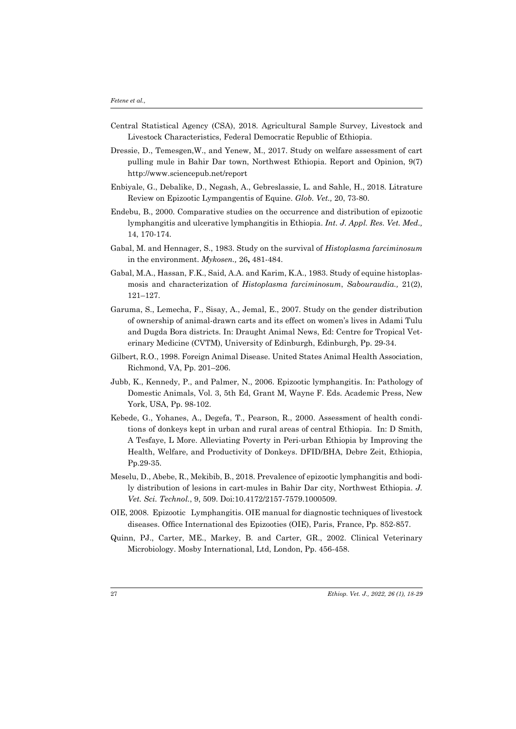- Central Statistical Agency (CSA), 2018. Agricultural Sample Survey, Livestock and Livestock Characteristics, Federal Democratic Republic of Ethiopia.
- Dressie, D., Temesgen,W., and Yenew, M., 2017. Study on welfare assessment of cart pulling mule in Bahir Dar town, Northwest Ethiopia. Report and Opinion, 9(7) http://www.sciencepub.net/report
- Enbiyale, G., Debalike, D., Negash, A., Gebreslassie, L. and Sahle, H., 2018. Litrature Review on Epizootic Lympangentis of Equine. *Glob. Vet.,* 20, 73-80.
- Endebu, B., 2000. Comparative studies on the occurrence and distribution of epizootic lymphangitis and ulcerative lymphangitis in Ethiopia. *Int. J. Appl. Res. Vet. Med.,*  14, 170-174.
- Gabal, M. and Hennager, S., 1983. Study on the survival of *Histoplasma farciminosum* in the environment. *Mykosen.,* 26**,** 481-484.
- Gabal, M.A., Hassan, F.K., Said, A.A. and Karim, K.A., 1983. Study of equine histoplasmosis and characterization of *Histoplasma farciminosum*, *Sabouraudia.,* 21(2), 121–127.
- Garuma, S., Lemecha, F., Sisay, A., Jemal, E., 2007. Study on the gender distribution of ownership of animal-drawn carts and its effect on women's lives in Adami Tulu and Dugda Bora districts. In: Draught Animal News, Ed: Centre for Tropical Veterinary Medicine (CVTM), University of Edinburgh, Edinburgh, Pp. 29-34.
- Gilbert, R.O., 1998. Foreign Animal Disease. United States Animal Health Association, Richmond, VA, Pp. 201–206.
- Jubb, K., Kennedy, P., and Palmer, N., 2006. Epizootic lymphangitis. In: Pathology of Domestic Animals, Vol. 3, 5th Ed, Grant M, Wayne F. Eds. Academic Press, New York, USA, Pp. 98-102.
- Kebede, G., Yohanes, A., Degefa, T., Pearson, R., 2000. Assessment of health conditions of donkeys kept in urban and rural areas of central Ethiopia. In: D Smith, A Tesfaye, L More. Alleviating Poverty in Peri-urban Ethiopia by Improving the Health, Welfare, and Productivity of Donkeys. DFID/BHA, Debre Zeit, Ethiopia, Pp.29-35.
- Meselu, D., Abebe, R., Mekibib, B., 2018. Prevalence of epizootic lymphangitis and bodily distribution of lesions in cart-mules in Bahir Dar city, Northwest Ethiopia. *J. Vet. Sci. Technol.*, 9, 509. Doi:10.4172/2157-7579.1000509.
- OIE, 2008. Epizootic Lymphangitis. OIE manual for diagnostic techniques of livestock diseases. Office International des Epizooties (OIE), Paris, France, Pp. 852-857.
- Quinn, PJ., Carter, ME., Markey, B. and Carter, GR., 2002. Clinical Veterinary Microbiology. Mosby International, Ltd, London, Pp. 456-458.